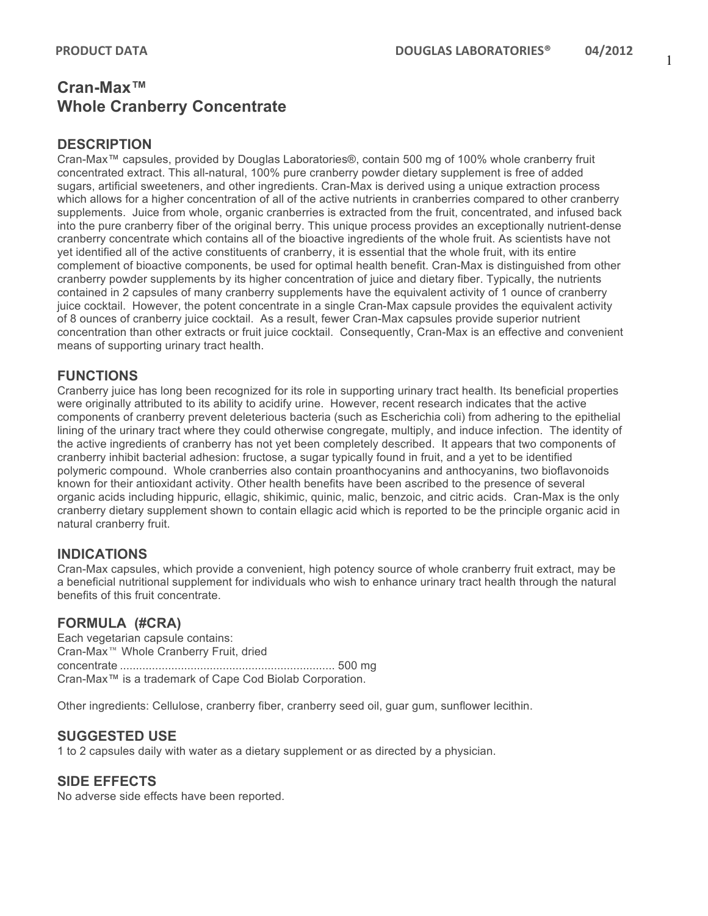# **Cran-Max™ Whole Cranberry Concentrate**

## **DESCRIPTION**

Cran-Max™ capsules, provided by Douglas Laboratories®, contain 500 mg of 100% whole cranberry fruit concentrated extract. This all-natural, 100% pure cranberry powder dietary supplement is free of added sugars, artificial sweeteners, and other ingredients. Cran-Max is derived using a unique extraction process which allows for a higher concentration of all of the active nutrients in cranberries compared to other cranberry supplements. Juice from whole, organic cranberries is extracted from the fruit, concentrated, and infused back into the pure cranberry fiber of the original berry. This unique process provides an exceptionally nutrient-dense cranberry concentrate which contains all of the bioactive ingredients of the whole fruit. As scientists have not yet identified all of the active constituents of cranberry, it is essential that the whole fruit, with its entire complement of bioactive components, be used for optimal health benefit. Cran-Max is distinguished from other cranberry powder supplements by its higher concentration of juice and dietary fiber. Typically, the nutrients contained in 2 capsules of many cranberry supplements have the equivalent activity of 1 ounce of cranberry juice cocktail. However, the potent concentrate in a single Cran-Max capsule provides the equivalent activity of 8 ounces of cranberry juice cocktail. As a result, fewer Cran-Max capsules provide superior nutrient concentration than other extracts or fruit juice cocktail. Consequently, Cran-Max is an effective and convenient means of supporting urinary tract health.

## **FUNCTIONS**

Cranberry juice has long been recognized for its role in supporting urinary tract health. Its beneficial properties were originally attributed to its ability to acidify urine. However, recent research indicates that the active components of cranberry prevent deleterious bacteria (such as Escherichia coli) from adhering to the epithelial lining of the urinary tract where they could otherwise congregate, multiply, and induce infection. The identity of the active ingredients of cranberry has not yet been completely described. It appears that two components of cranberry inhibit bacterial adhesion: fructose, a sugar typically found in fruit, and a yet to be identified polymeric compound. Whole cranberries also contain proanthocyanins and anthocyanins, two bioflavonoids known for their antioxidant activity. Other health benefits have been ascribed to the presence of several organic acids including hippuric, ellagic, shikimic, quinic, malic, benzoic, and citric acids. Cran-Max is the only cranberry dietary supplement shown to contain ellagic acid which is reported to be the principle organic acid in natural cranberry fruit.

#### **INDICATIONS**

Cran-Max capsules, which provide a convenient, high potency source of whole cranberry fruit extract, may be a beneficial nutritional supplement for individuals who wish to enhance urinary tract health through the natural benefits of this fruit concentrate.

#### **FORMULA (#CRA)**

Each vegetarian capsule contains: Cran-Max Whole Cranberry Fruit, dried concentrate ................................................................... 500 mg Cran-Max™ is a trademark of Cape Cod Biolab Corporation.

Other ingredients: Cellulose, cranberry fiber, cranberry seed oil, guar gum, sunflower lecithin.

#### **SUGGESTED USE**

1 to 2 capsules daily with water as a dietary supplement or as directed by a physician.

#### **SIDE EFFECTS**

No adverse side effects have been reported.